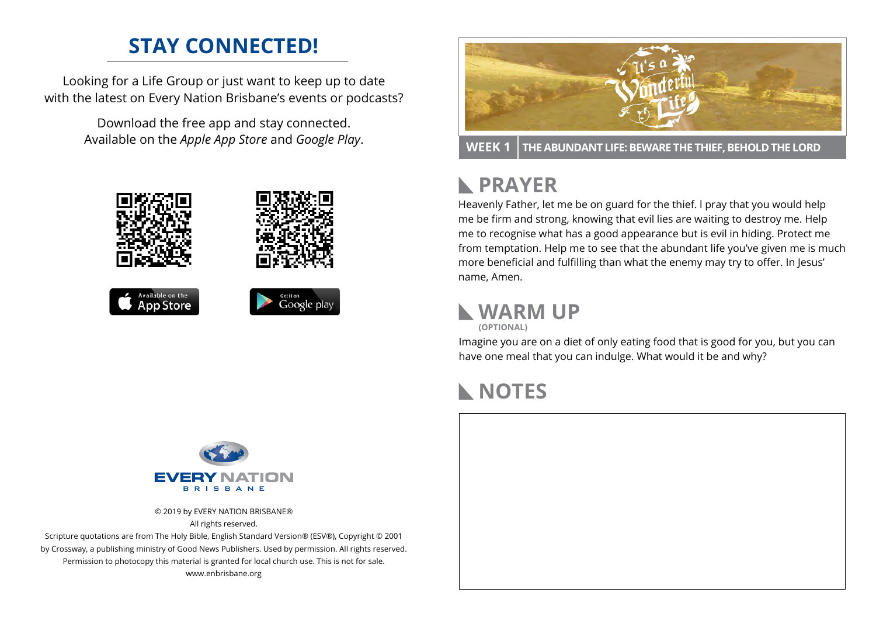# **STAY CONNECTED!**

Looking for a Life Group or just want to keep up to date with the latest on Every Nation Brisbane's events or podcasts?

> Download the free app and stay connected. Available on the *Apple App Store* and *Google Play*.





**WEEK 1 THE ABUNDANT LIFE: BEWARE THE THIEF, BEHOLD THE LORD**

### **PRAYER**  $\mathbb{R}$

Heavenly Father, let me be on guard for the thief. l pray that you would help me be firm and strong, knowing that evil lies are waiting to destroy me. Help me to recognise what has a good appearance but is evil in hiding. Protect me from temptation. Help me to see that the abundant life you've given me is much more beneficial and fulfilling than what the enemy may try to offer. In Jesus' name, Amen.

**WARM UP**

**(OPTIONAL)**

Imagine you are on a diet of only eating food that is good for you, but you can have one meal that you can indulge. What would it be and why?

## **NOTES**



© 2019 by EVERY NATION BRISBANE® All rights reserved.

Scripture quotations are from The Holy Bible, English Standard Version® (ESV®), Copyright © 2001 by Crossway, a publishing ministry of Good News Publishers. Used by permission. All rights reserved. Permission to photocopy this material is granted for local church use. This is not for sale. www.enbrisbane.org